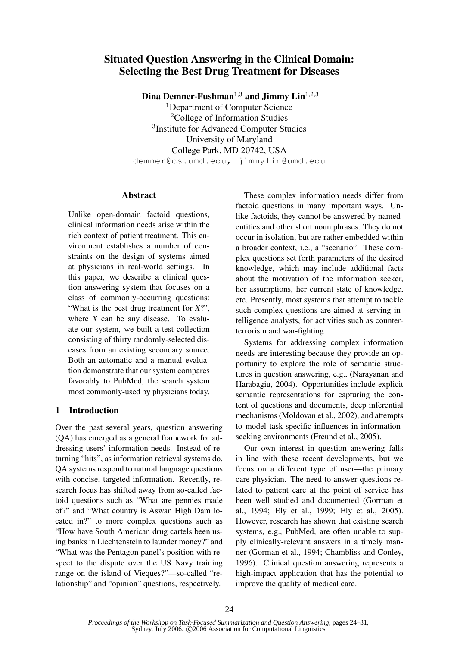# Situated Question Answering in the Clinical Domain: Selecting the Best Drug Treatment for Diseases

Dina Demner-Fushman<sup>1,3</sup> and Jimmy Lin<sup>1,2,3</sup>

<sup>1</sup>Department of Computer Science <sup>2</sup>College of Information Studies 3 Institute for Advanced Computer Studies University of Maryland College Park, MD 20742, USA demner@cs.umd.edu, jimmylin@umd.edu

#### Abstract

Unlike open-domain factoid questions, clinical information needs arise within the rich context of patient treatment. This environment establishes a number of constraints on the design of systems aimed at physicians in real-world settings. In this paper, we describe a clinical question answering system that focuses on a class of commonly-occurring questions: "What is the best drug treatment for *X*?", where *X* can be any disease. To evaluate our system, we built a test collection consisting of thirty randomly-selected diseases from an existing secondary source. Both an automatic and a manual evaluation demonstrate that our system compares favorably to PubMed, the search system most commonly-used by physicians today.

## 1 Introduction

Over the past several years, question answering (QA) has emerged as a general framework for addressing users' information needs. Instead of returning "hits", as information retrieval systems do, QA systems respond to natural language questions with concise, targeted information. Recently, research focus has shifted away from so-called factoid questions such as "What are pennies made of?" and "What country is Aswan High Dam located in?" to more complex questions such as "How have South American drug cartels been using banks in Liechtenstein to launder money?" and "What was the Pentagon panel's position with respect to the dispute over the US Navy training range on the island of Vieques?"—so-called "relationship" and "opinion" questions, respectively.

These complex information needs differ from factoid questions in many important ways. Unlike factoids, they cannot be answered by namedentities and other short noun phrases. They do not occur in isolation, but are rather embedded within a broader context, i.e., a "scenario". These complex questions set forth parameters of the desired knowledge, which may include additional facts about the motivation of the information seeker, her assumptions, her current state of knowledge, etc. Presently, most systems that attempt to tackle such complex questions are aimed at serving intelligence analysts, for activities such as counterterrorism and war-fighting.

Systems for addressing complex information needs are interesting because they provide an opportunity to explore the role of semantic structures in question answering, e.g., (Narayanan and Harabagiu, 2004). Opportunities include explicit semantic representations for capturing the content of questions and documents, deep inferential mechanisms (Moldovan et al., 2002), and attempts to model task-specific influences in informationseeking environments (Freund et al., 2005).

Our own interest in question answering falls in line with these recent developments, but we focus on a different type of user—the primary care physician. The need to answer questions related to patient care at the point of service has been well studied and documented (Gorman et al., 1994; Ely et al., 1999; Ely et al., 2005). However, research has shown that existing search systems, e.g., PubMed, are often unable to supply clinically-relevant answers in a timely manner (Gorman et al., 1994; Chambliss and Conley, 1996). Clinical question answering represents a high-impact application that has the potential to improve the quality of medical care.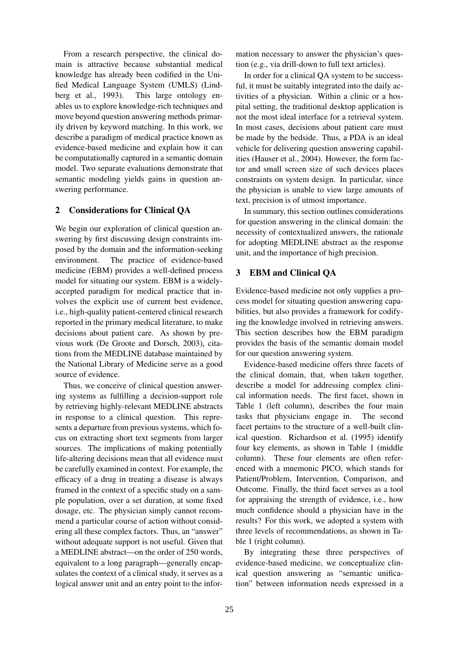From a research perspective, the clinical domain is attractive because substantial medical knowledge has already been codified in the Unified Medical Language System (UMLS) (Lindberg et al., 1993). This large ontology enables us to explore knowledge-rich techniques and move beyond question answering methods primarily driven by keyword matching. In this work, we describe a paradigm of medical practice known as evidence-based medicine and explain how it can be computationally captured in a semantic domain model. Two separate evaluations demonstrate that semantic modeling yields gains in question answering performance.

## 2 Considerations for Clinical QA

We begin our exploration of clinical question answering by first discussing design constraints imposed by the domain and the information-seeking environment. The practice of evidence-based medicine (EBM) provides a well-defined process model for situating our system. EBM is a widelyaccepted paradigm for medical practice that involves the explicit use of current best evidence, i.e., high-quality patient-centered clinical research reported in the primary medical literature, to make decisions about patient care. As shown by previous work (De Groote and Dorsch, 2003), citations from the MEDLINE database maintained by the National Library of Medicine serve as a good source of evidence.

Thus, we conceive of clinical question answering systems as fulfilling a decision-support role by retrieving highly-relevant MEDLINE abstracts in response to a clinical question. This represents a departure from previous systems, which focus on extracting short text segments from larger sources. The implications of making potentially life-altering decisions mean that all evidence must be carefully examined in context. For example, the efficacy of a drug in treating a disease is always framed in the context of a specific study on a sample population, over a set duration, at some fixed dosage, etc. The physician simply cannot recommend a particular course of action without considering all these complex factors. Thus, an "answer" without adequate support is not useful. Given that a MEDLINE abstract—on the order of 250 words, equivalent to a long paragraph—generally encapsulates the context of a clinical study, it serves as a logical answer unit and an entry point to the infor-

mation necessary to answer the physician's question (e.g., via drill-down to full text articles).

In order for a clinical QA system to be successful, it must be suitably integrated into the daily activities of a physician. Within a clinic or a hospital setting, the traditional desktop application is not the most ideal interface for a retrieval system. In most cases, decisions about patient care must be made by the bedside. Thus, a PDA is an ideal vehicle for delivering question answering capabilities (Hauser et al., 2004). However, the form factor and small screen size of such devices places constraints on system design. In particular, since the physician is unable to view large amounts of text, precision is of utmost importance.

In summary, this section outlines considerations for question answering in the clinical domain: the necessity of contextualized answers, the rationale for adopting MEDLINE abstract as the response unit, and the importance of high precision.

## 3 EBM and Clinical QA

Evidence-based medicine not only supplies a process model for situating question answering capabilities, but also provides a framework for codifying the knowledge involved in retrieving answers. This section describes how the EBM paradigm provides the basis of the semantic domain model for our question answering system.

Evidence-based medicine offers three facets of the clinical domain, that, when taken together, describe a model for addressing complex clinical information needs. The first facet, shown in Table 1 (left column), describes the four main tasks that physicians engage in. The second facet pertains to the structure of a well-built clinical question. Richardson et al. (1995) identify four key elements, as shown in Table 1 (middle column). These four elements are often referenced with a mnemonic PICO, which stands for Patient/Problem, Intervention, Comparison, and Outcome. Finally, the third facet serves as a tool for appraising the strength of evidence, i.e., how much confidence should a physician have in the results? For this work, we adopted a system with three levels of recommendations, as shown in Table 1 (right column).

By integrating these three perspectives of evidence-based medicine, we conceptualize clinical question answering as "semantic unification" between information needs expressed in a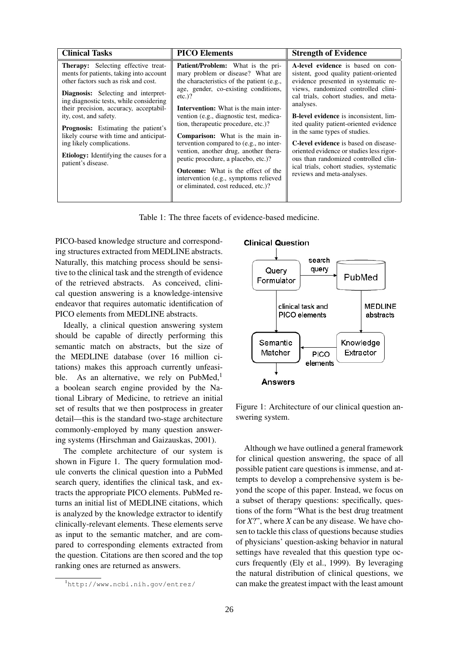| <b>Clinical Tasks</b>                                                                                                                                                                                                                                                                                                                                                                                                                                                           | <b>PICO Elements</b>                                                                                                                                                                                                                                                                                                                                                                                                                                                                                                                                                                                                 | <b>Strength of Evidence</b>                                                                                                                                                                                                                                                                                                                                                                                                                                                                                                                               |
|---------------------------------------------------------------------------------------------------------------------------------------------------------------------------------------------------------------------------------------------------------------------------------------------------------------------------------------------------------------------------------------------------------------------------------------------------------------------------------|----------------------------------------------------------------------------------------------------------------------------------------------------------------------------------------------------------------------------------------------------------------------------------------------------------------------------------------------------------------------------------------------------------------------------------------------------------------------------------------------------------------------------------------------------------------------------------------------------------------------|-----------------------------------------------------------------------------------------------------------------------------------------------------------------------------------------------------------------------------------------------------------------------------------------------------------------------------------------------------------------------------------------------------------------------------------------------------------------------------------------------------------------------------------------------------------|
| <b>Therapy:</b> Selecting effective treat-<br>ments for patients, taking into account<br>other factors such as risk and cost.<br>Diagnosis: Selecting and interpret-<br>ing diagnostic tests, while considering<br>their precision, accuracy, acceptabil-<br>ity, cost, and safety.<br><b>Prognosis:</b> Estimating the patient's<br>likely course with time and anticipat-<br>ing likely complications.<br><b>Etiology:</b> Identifying the causes for a<br>patient's disease. | <b>Patient/Problem:</b> What is the pri-<br>mary problem or disease? What are<br>the characteristics of the patient (e.g.,<br>age, gender, co-existing conditions,<br>$etc.$ )?<br><b>Intervention:</b> What is the main inter-<br>vention (e.g., diagnostic test, medica-<br>tion, therapeutic procedure, etc.)?<br><b>Comparison:</b> What is the main in-<br>tervention compared to (e.g., no inter-<br>vention, another drug, another thera-<br>peutic procedure, a placebo, etc.)?<br><b>Outcome:</b> What is the effect of the<br>intervention (e.g., symptoms relieved<br>or eliminated, cost reduced, etc.)? | A-level evidence is based on con-<br>sistent, good quality patient-oriented<br>evidence presented in systematic re-<br>views, randomized controlled clini-<br>cal trials, cohort studies, and meta-<br>analyses.<br><b>B-level evidence</b> is inconsistent, lim-<br>ited quality patient-oriented evidence<br>in the same types of studies.<br><b>C-level evidence</b> is based on disease-<br>oriented evidence or studies less rigor-<br>ous than randomized controlled clin-<br>ical trials, cohort studies, systematic<br>reviews and meta-analyses. |

Table 1: The three facets of evidence-based medicine.

PICO-based knowledge structure and corresponding structures extracted from MEDLINE abstracts. Naturally, this matching process should be sensitive to the clinical task and the strength of evidence of the retrieved abstracts. As conceived, clinical question answering is a knowledge-intensive endeavor that requires automatic identification of PICO elements from MEDLINE abstracts.

Ideally, a clinical question answering system should be capable of directly performing this semantic match on abstracts, but the size of the MEDLINE database (over 16 million citations) makes this approach currently unfeasible. As an alternative, we rely on  $PubMed<sub>1</sub><sup>1</sup>$ a boolean search engine provided by the National Library of Medicine, to retrieve an initial set of results that we then postprocess in greater detail—this is the standard two-stage architecture commonly-employed by many question answering systems (Hirschman and Gaizauskas, 2001).

The complete architecture of our system is shown in Figure 1. The query formulation module converts the clinical question into a PubMed search query, identifies the clinical task, and extracts the appropriate PICO elements. PubMed returns an initial list of MEDLINE citations, which is analyzed by the knowledge extractor to identify clinically-relevant elements. These elements serve as input to the semantic matcher, and are compared to corresponding elements extracted from the question. Citations are then scored and the top ranking ones are returned as answers.

# **Clinical Question**



Figure 1: Architecture of our clinical question answering system.

Although we have outlined a general framework for clinical question answering, the space of all possible patient care questions is immense, and attempts to develop a comprehensive system is beyond the scope of this paper. Instead, we focus on a subset of therapy questions: specifically, questions of the form "What is the best drug treatment for *X*?", where *X* can be any disease. We have chosen to tackle this class of questions because studies of physicians' question-asking behavior in natural settings have revealed that this question type occurs frequently (Ely et al., 1999). By leveraging the natural distribution of clinical questions, we can make the greatest impact with the least amount

<sup>1</sup>http://www.ncbi.nih.gov/entrez/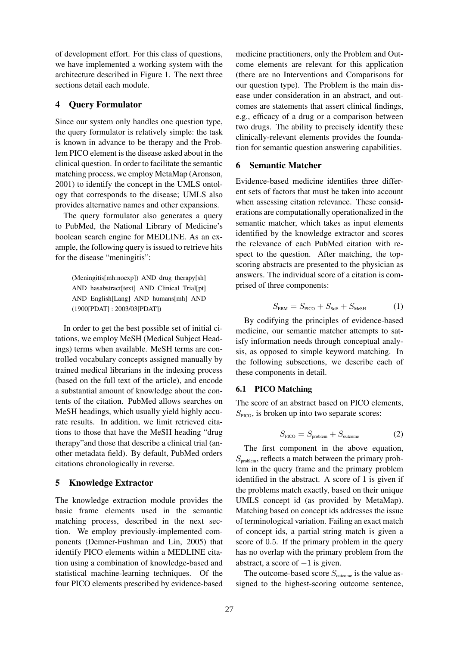of development effort. For this class of questions, we have implemented a working system with the architecture described in Figure 1. The next three sections detail each module.

#### 4 Query Formulator

Since our system only handles one question type, the query formulator is relatively simple: the task is known in advance to be therapy and the Problem PICO element is the disease asked about in the clinical question. In order to facilitate the semantic matching process, we employ MetaMap (Aronson, 2001) to identify the concept in the UMLS ontology that corresponds to the disease; UMLS also provides alternative names and other expansions.

The query formulator also generates a query to PubMed, the National Library of Medicine's boolean search engine for MEDLINE. As an example, the following query is issued to retrieve hits for the disease "meningitis":

(Meningitis[mh:noexp]) AND drug therapy[sh] AND hasabstract[text] AND Clinical Trial[pt] AND English[Lang] AND humans[mh] AND (1900[PDAT] : 2003/03[PDAT])

In order to get the best possible set of initial citations, we employ MeSH (Medical Subject Headings) terms when available. MeSH terms are controlled vocabulary concepts assigned manually by trained medical librarians in the indexing process (based on the full text of the article), and encode a substantial amount of knowledge about the contents of the citation. PubMed allows searches on MeSH headings, which usually yield highly accurate results. In addition, we limit retrieved citations to those that have the MeSH heading "drug therapy"and those that describe a clinical trial (another metadata field). By default, PubMed orders citations chronologically in reverse.

#### 5 Knowledge Extractor

The knowledge extraction module provides the basic frame elements used in the semantic matching process, described in the next section. We employ previously-implemented components (Demner-Fushman and Lin, 2005) that identify PICO elements within a MEDLINE citation using a combination of knowledge-based and statistical machine-learning techniques. Of the four PICO elements prescribed by evidence-based

medicine practitioners, only the Problem and Outcome elements are relevant for this application (there are no Interventions and Comparisons for our question type). The Problem is the main disease under consideration in an abstract, and outcomes are statements that assert clinical findings, e.g., efficacy of a drug or a comparison between two drugs. The ability to precisely identify these clinically-relevant elements provides the foundation for semantic question answering capabilities.

#### 6 Semantic Matcher

Evidence-based medicine identifies three different sets of factors that must be taken into account when assessing citation relevance. These considerations are computationally operationalized in the semantic matcher, which takes as input elements identified by the knowledge extractor and scores the relevance of each PubMed citation with respect to the question. After matching, the topscoring abstracts are presented to the physician as answers. The individual score of a citation is comprised of three components:

$$
S_{\text{EBM}} = S_{\text{PICO}} + S_{\text{SoE}} + S_{\text{MeSH}} \tag{1}
$$

By codifying the principles of evidence-based medicine, our semantic matcher attempts to satisfy information needs through conceptual analysis, as opposed to simple keyword matching. In the following subsections, we describe each of these components in detail.

#### 6.1 PICO Matching

The score of an abstract based on PICO elements,  $S<sub>PICO</sub>$ , is broken up into two separate scores:

$$
S_{\text{PICO}} = S_{\text{problem}} + S_{\text{outcome}} \tag{2}
$$

The first component in the above equation,  $S_{\text{problem}}$ , reflects a match between the primary problem in the query frame and the primary problem identified in the abstract. A score of 1 is given if the problems match exactly, based on their unique UMLS concept id (as provided by MetaMap). Matching based on concept ids addresses the issue of terminological variation. Failing an exact match of concept ids, a partial string match is given a score of 0.5. If the primary problem in the query has no overlap with the primary problem from the abstract, a score of  $-1$  is given.

The outcome-based score  $S_{\text{outcome}}$  is the value assigned to the highest-scoring outcome sentence,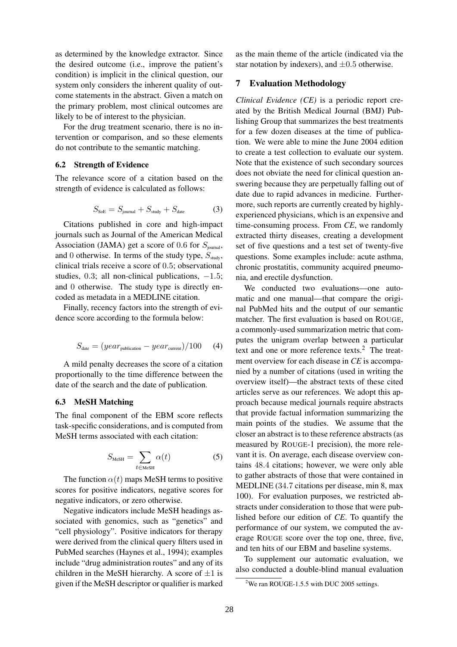as determined by the knowledge extractor. Since the desired outcome (i.e., improve the patient's condition) is implicit in the clinical question, our system only considers the inherent quality of outcome statements in the abstract. Given a match on the primary problem, most clinical outcomes are likely to be of interest to the physician.

For the drug treatment scenario, there is no intervention or comparison, and so these elements do not contribute to the semantic matching.

### 6.2 Strength of Evidence

The relevance score of a citation based on the strength of evidence is calculated as follows:

$$
S_{\text{SoE}} = S_{\text{journal}} + S_{\text{study}} + S_{\text{date}} \tag{3}
$$

Citations published in core and high-impact journals such as Journal of the American Medical Association (JAMA) get a score of 0.6 for  $S<sub>journal</sub>$ , and 0 otherwise. In terms of the study type,  $S_{\text{study}}$ , clinical trials receive a score of 0.5; observational studies, 0.3; all non-clinical publications,  $-1.5$ ; and 0 otherwise. The study type is directly encoded as metadata in a MEDLINE citation.

Finally, recency factors into the strength of evidence score according to the formula below:

$$
S_{\text{date}} = (year_{\text{publication}} - year_{\text{current}})/100 \qquad (4)
$$

A mild penalty decreases the score of a citation proportionally to the time difference between the date of the search and the date of publication.

#### 6.3 MeSH Matching

The final component of the EBM score reflects task-specific considerations, and is computed from MeSH terms associated with each citation:

$$
S_{\text{MeSH}} = \sum_{t \in \text{MeSH}} \alpha(t) \tag{5}
$$

The function  $\alpha(t)$  maps MeSH terms to positive scores for positive indicators, negative scores for negative indicators, or zero otherwise.

Negative indicators include MeSH headings associated with genomics, such as "genetics" and "cell physiology". Positive indicators for therapy were derived from the clinical query filters used in PubMed searches (Haynes et al., 1994); examples include "drug administration routes" and any of its children in the MeSH hierarchy. A score of  $\pm 1$  is given if the MeSH descriptor or qualifier is marked as the main theme of the article (indicated via the star notation by indexers), and  $\pm 0.5$  otherwise.

#### 7 Evaluation Methodology

*Clinical Evidence (CE)* is a periodic report created by the British Medical Journal (BMJ) Publishing Group that summarizes the best treatments for a few dozen diseases at the time of publication. We were able to mine the June 2004 edition to create a test collection to evaluate our system. Note that the existence of such secondary sources does not obviate the need for clinical question answering because they are perpetually falling out of date due to rapid advances in medicine. Furthermore, such reports are currently created by highlyexperienced physicians, which is an expensive and time-consuming process. From *CE*, we randomly extracted thirty diseases, creating a development set of five questions and a test set of twenty-five questions. Some examples include: acute asthma, chronic prostatitis, community acquired pneumonia, and erectile dysfunction.

We conducted two evaluations—one automatic and one manual—that compare the original PubMed hits and the output of our semantic matcher. The first evaluation is based on ROUGE, a commonly-used summarization metric that computes the unigram overlap between a particular text and one or more reference texts.<sup>2</sup> The treatment overview for each disease in *CE* is accompanied by a number of citations (used in writing the overview itself)—the abstract texts of these cited articles serve as our references. We adopt this approach because medical journals require abstracts that provide factual information summarizing the main points of the studies. We assume that the closer an abstract is to these reference abstracts (as measured by ROUGE-1 precision), the more relevant it is. On average, each disease overview contains 48.4 citations; however, we were only able to gather abstracts of those that were contained in MEDLINE (34.7 citations per disease, min 8, max 100). For evaluation purposes, we restricted abstracts under consideration to those that were published before our edition of *CE*. To quantify the performance of our system, we computed the average ROUGE score over the top one, three, five, and ten hits of our EBM and baseline systems.

To supplement our automatic evaluation, we also conducted a double-blind manual evaluation

<sup>&</sup>lt;sup>2</sup>We ran ROUGE-1.5.5 with DUC 2005 settings.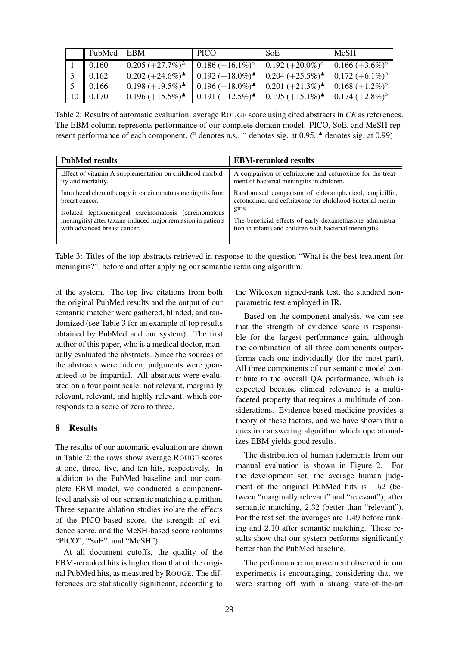| $\parallel$ PubMed $\parallel$ EBM |                                                                                                                                            | $\parallel$ PICO                                                                                                                                                                                                         | SoE | MeSH                           |
|------------------------------------|--------------------------------------------------------------------------------------------------------------------------------------------|--------------------------------------------------------------------------------------------------------------------------------------------------------------------------------------------------------------------------|-----|--------------------------------|
| $1 \parallel 0.160$                | $\boxed{0.205~(+27.7\%)^{\triangle}}$ $\boxed{0.186~(+16.1\%)^{\circ}}$ $\boxed{0.192~(+20.0\%)^{\circ}}$ $\boxed{0.166~(+3.6\%)^{\circ}}$ |                                                                                                                                                                                                                          |     |                                |
| $3 \parallel 0.162$                |                                                                                                                                            | $0.202 (+24.6\%)$ <sup><math>\blacktriangle</math></sup> $\parallel$ 0.192 (+18.0%) <sup><math>\blacktriangle</math></sup> $\parallel$ 0.204 (+25.5%) <sup><math>\blacktriangle</math></sup>                             |     | $\vert 0.172 (+6.1\%)^{\circ}$ |
| $5 \parallel 0.166$                |                                                                                                                                            | $\mid$ 0.198 (+19.5%) $\blacktriangle$ $\parallel$ 0.196 (+18.0%) $\blacktriangle$ $\mid$ 0.201 (+21.3%) $\blacktriangle$ $\mid$ 0.168 (+1.2%) <sup>o</sup>                                                              |     |                                |
| $10 \parallel 0.170$               |                                                                                                                                            | $\mid$ 0.196 (+15.5%) <sup><math>\blacktriangle</math></sup> $\mid$ 0.191 (+12.5%) <sup><math>\blacktriangle</math></sup> $\mid$ 0.195 (+15.1%) <sup><math>\blacktriangle</math></sup> $\mid$ 0.174 (+2.8%) <sup>o</sup> |     |                                |

Table 2: Results of automatic evaluation: average ROUGE score using cited abstracts in *CE* as references. The EBM column represents performance of our complete domain model. PICO, SoE, and MeSH represent performance of each component. ( $\degree$  denotes n.s.,  $\triangle$  denotes sig. at 0.95,  $\blacktriangle$  denotes sig. at 0.99)

| <b>PubMed results</b>                                        | <b>EBM-reranked results</b>                                |
|--------------------------------------------------------------|------------------------------------------------------------|
| Effect of vitamin A supplementation on childhood morbid-     | A comparison of ceftriaxone and cefuroxime for the treat-  |
| ity and mortality.                                           | ment of bacterial meningitis in children.                  |
| Intrathecal chemotherapy in carcinomatous meningitis from    | Randomised comparison of chloramphenicol, ampicillin,      |
| breast cancer.                                               | cefotaxime, and ceftriaxone for childhood bacterial menin- |
| Isolated leptomeningeal carcinomatosis (carcinomatous        | gitis.                                                     |
| meningitis) after taxane-induced major remission in patients | The beneficial effects of early dexamethasone administra-  |
| with advanced breast cancer.                                 | tion in infants and children with bacterial meningitis.    |

Table 3: Titles of the top abstracts retrieved in response to the question "What is the best treatment for meningitis?", before and after applying our semantic reranking algorithm.

of the system. The top five citations from both the original PubMed results and the output of our semantic matcher were gathered, blinded, and randomized (see Table 3 for an example of top results obtained by PubMed and our system). The first author of this paper, who is a medical doctor, manually evaluated the abstracts. Since the sources of the abstracts were hidden, judgments were guaranteed to be impartial. All abstracts were evaluated on a four point scale: not relevant, marginally relevant, relevant, and highly relevant, which corresponds to a score of zero to three.

## 8 Results

The results of our automatic evaluation are shown in Table 2: the rows show average ROUGE scores at one, three, five, and ten hits, respectively. In addition to the PubMed baseline and our complete EBM model, we conducted a componentlevel analysis of our semantic matching algorithm. Three separate ablation studies isolate the effects of the PICO-based score, the strength of evidence score, and the MeSH-based score (columns "PICO", "SoE", and "MeSH").

At all document cutoffs, the quality of the EBM-reranked hits is higher than that of the original PubMed hits, as measured by ROUGE. The differences are statistically significant, according to

the Wilcoxon signed-rank test, the standard nonparametric test employed in IR.

Based on the component analysis, we can see that the strength of evidence score is responsible for the largest performance gain, although the combination of all three components outperforms each one individually (for the most part). All three components of our semantic model contribute to the overall QA performance, which is expected because clinical relevance is a multifaceted property that requires a multitude of considerations. Evidence-based medicine provides a theory of these factors, and we have shown that a question answering algorithm which operationalizes EBM yields good results.

The distribution of human judgments from our manual evaluation is shown in Figure 2. For the development set, the average human judgment of the original PubMed hits is 1.52 (between "marginally relevant" and "relevant"); after semantic matching, 2.32 (better than "relevant"). For the test set, the averages are 1.49 before ranking and 2.10 after semantic matching. These results show that our system performs significantly better than the PubMed baseline.

The performance improvement observed in our experiments is encouraging, considering that we were starting off with a strong state-of-the-art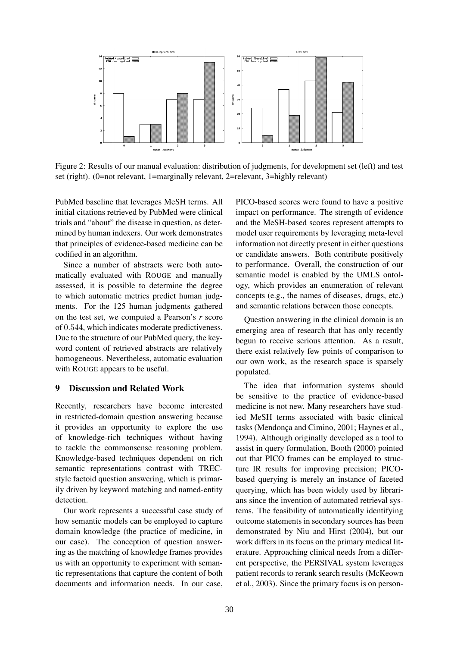

Figure 2: Results of our manual evaluation: distribution of judgments, for development set (left) and test set (right). (0=not relevant, 1=marginally relevant, 2=relevant, 3=highly relevant)

PubMed baseline that leverages MeSH terms. All initial citations retrieved by PubMed were clinical trials and "about" the disease in question, as determined by human indexers. Our work demonstrates that principles of evidence-based medicine can be codified in an algorithm.

Since a number of abstracts were both automatically evaluated with ROUGE and manually assessed, it is possible to determine the degree to which automatic metrics predict human judgments. For the 125 human judgments gathered on the test set, we computed a Pearson's *r* score of 0.544, which indicates moderate predictiveness. Due to the structure of our PubMed query, the keyword content of retrieved abstracts are relatively homogeneous. Nevertheless, automatic evaluation with ROUGE appears to be useful.

### 9 Discussion and Related Work

Recently, researchers have become interested in restricted-domain question answering because it provides an opportunity to explore the use of knowledge-rich techniques without having to tackle the commonsense reasoning problem. Knowledge-based techniques dependent on rich semantic representations contrast with TRECstyle factoid question answering, which is primarily driven by keyword matching and named-entity detection.

Our work represents a successful case study of how semantic models can be employed to capture domain knowledge (the practice of medicine, in our case). The conception of question answering as the matching of knowledge frames provides us with an opportunity to experiment with semantic representations that capture the content of both documents and information needs. In our case,

PICO-based scores were found to have a positive impact on performance. The strength of evidence and the MeSH-based scores represent attempts to model user requirements by leveraging meta-level information not directly present in either questions or candidate answers. Both contribute positively to performance. Overall, the construction of our semantic model is enabled by the UMLS ontology, which provides an enumeration of relevant concepts (e.g., the names of diseases, drugs, etc.) and semantic relations between those concepts.

Question answering in the clinical domain is an emerging area of research that has only recently begun to receive serious attention. As a result, there exist relatively few points of comparison to our own work, as the research space is sparsely populated.

The idea that information systems should be sensitive to the practice of evidence-based medicine is not new. Many researchers have studied MeSH terms associated with basic clinical tasks (Mendonça and Cimino, 2001; Haynes et al., 1994). Although originally developed as a tool to assist in query formulation, Booth (2000) pointed out that PICO frames can be employed to structure IR results for improving precision; PICObased querying is merely an instance of faceted querying, which has been widely used by librarians since the invention of automated retrieval systems. The feasibility of automatically identifying outcome statements in secondary sources has been demonstrated by Niu and Hirst (2004), but our work differs in its focus on the primary medical literature. Approaching clinical needs from a different perspective, the PERSIVAL system leverages patient records to rerank search results (McKeown et al., 2003). Since the primary focus is on person